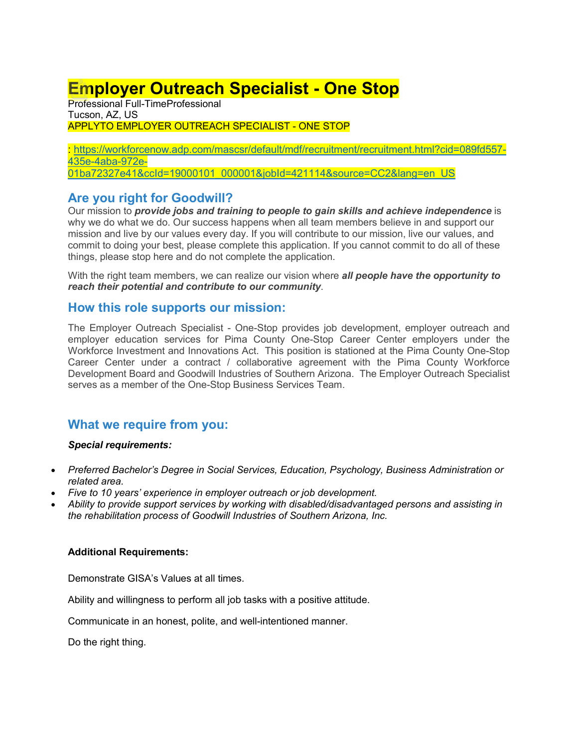# **Employer Outreach Specialist - One Stop**

Professional Full-TimeProfessional Tucson, AZ, US APPLYTO EMPLOYER OUTREACH SPECIALIST - ONE STOP

: [https://workforcenow.adp.com/mascsr/default/mdf/recruitment/recruitment.html?cid=089fd557-](https://workforcenow.adp.com/mascsr/default/mdf/recruitment/recruitment.html?cid=089fd557-435e-4aba-972e-01ba72327e41&ccId=19000101_000001&jobId=421114&source=CC2&lang=en_US) [435e-4aba-972e-](https://workforcenow.adp.com/mascsr/default/mdf/recruitment/recruitment.html?cid=089fd557-435e-4aba-972e-01ba72327e41&ccId=19000101_000001&jobId=421114&source=CC2&lang=en_US)[01ba72327e41&ccId=19000101\\_000001&jobId=421114&source=CC2&lang=en\\_US](https://workforcenow.adp.com/mascsr/default/mdf/recruitment/recruitment.html?cid=089fd557-435e-4aba-972e-01ba72327e41&ccId=19000101_000001&jobId=421114&source=CC2&lang=en_US)

## **Are you right for Goodwill?**

Our mission to *provide jobs and training to people to gain skills and achieve independence* is why we do what we do. Our success happens when all team members believe in and support our mission and live by our values every day. If you will contribute to our mission, live our values, and commit to doing your best, please complete this application. If you cannot commit to do all of these things, please stop here and do not complete the application.

With the right team members, we can realize our vision where *all people have the opportunity to reach their potential and contribute to our community*.

### **How this role supports our mission:**

The Employer Outreach Specialist - One-Stop provides job development, employer outreach and employer education services for Pima County One-Stop Career Center employers under the Workforce Investment and Innovations Act. This position is stationed at the Pima County One-Stop Career Center under a contract / collaborative agreement with the Pima County Workforce Development Board and Goodwill Industries of Southern Arizona. The Employer Outreach Specialist serves as a member of the One-Stop Business Services Team.

# **What we require from you:**

#### *Special requirements:*

- *Preferred Bachelor's Degree in Social Services, Education, Psychology, Business Administration or related area.*
- *Five to 10 years' experience in employer outreach or job development.*
- *Ability to provide support services by working with disabled/disadvantaged persons and assisting in the rehabilitation process of Goodwill Industries of Southern Arizona, Inc.*

#### **Additional Requirements:**

Demonstrate GISA's Values at all times.

Ability and willingness to perform all job tasks with a positive attitude.

Communicate in an honest, polite, and well-intentioned manner.

Do the right thing.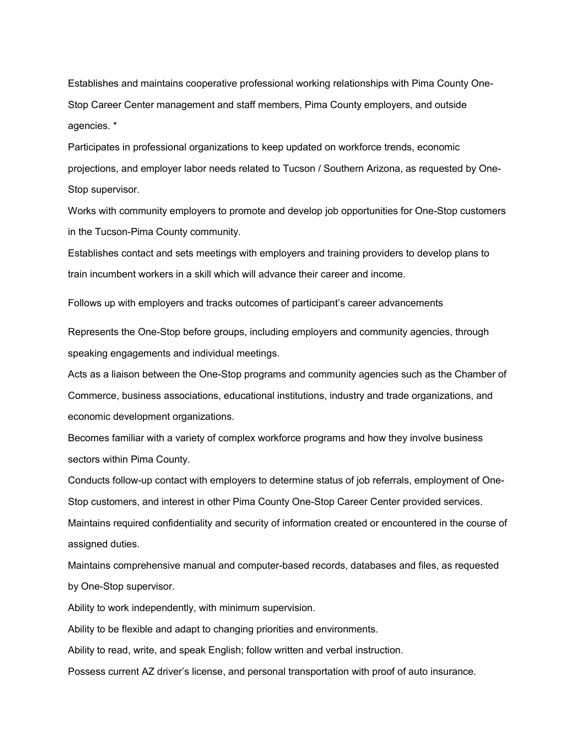Establishes and maintains cooperative professional working relationships with Pima County One-Stop Career Center management and staff members, Pima County employers, and outside agencies. \*

Participates in professional organizations to keep updated on workforce trends, economic projections, and employer labor needs related to Tucson / Southern Arizona, as requested by One-Stop supervisor.

Works with community employers to promote and develop job opportunities for One-Stop customers in the Tucson-Pima County community.

Establishes contact and sets meetings with employers and training providers to develop plans to train incumbent workers in a skill which will advance their career and income.

Follows up with employers and tracks outcomes of participant's career advancements

Represents the One-Stop before groups, including employers and community agencies, through speaking engagements and individual meetings.

Acts as a liaison between the One-Stop programs and community agencies such as the Chamber of Commerce, business associations, educational institutions, industry and trade organizations, and economic development organizations.

Becomes familiar with a variety of complex workforce programs and how they involve business sectors within Pima County.

Conducts follow-up contact with employers to determine status of job referrals, employment of One-Stop customers, and interest in other Pima County One-Stop Career Center provided services. Maintains required confidentiality and security of information created or encountered in the course of assigned duties.

Maintains comprehensive manual and computer-based records, databases and files, as requested by One-Stop supervisor.

Ability to work independently, with minimum supervision.

Ability to be flexible and adapt to changing priorities and environments.

Ability to read, write, and speak English; follow written and verbal instruction.

Possess current AZ driver's license, and personal transportation with proof of auto insurance.